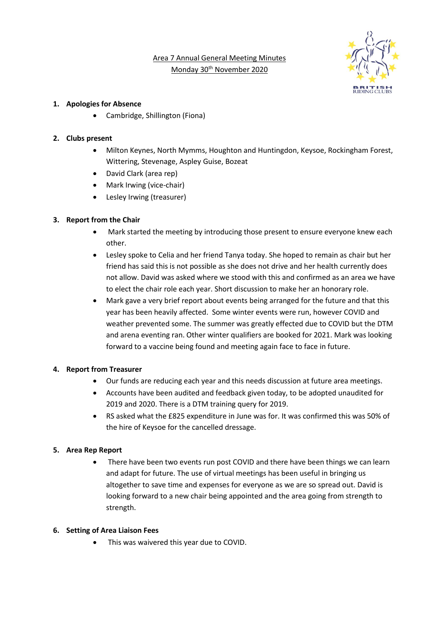Area 7 Annual General Meeting Minutes Monday 30th November 2020



### **1. Apologies for Absence**

• Cambridge, Shillington (Fiona)

### **2. Clubs present**

- Milton Keynes, North Mymms, Houghton and Huntingdon, Keysoe, Rockingham Forest, Wittering, Stevenage, Aspley Guise, Bozeat
- David Clark (area rep)
- Mark Irwing (vice-chair)
- Lesley Irwing (treasurer)

# **3. Report from the Chair**

- Mark started the meeting by introducing those present to ensure everyone knew each other.
- Lesley spoke to Celia and her friend Tanya today. She hoped to remain as chair but her friend has said this is not possible as she does not drive and her health currently does not allow. David was asked where we stood with this and confirmed as an area we have to elect the chair role each year. Short discussion to make her an honorary role.
- Mark gave a very brief report about events being arranged for the future and that this year has been heavily affected. Some winter events were run, however COVID and weather prevented some. The summer was greatly effected due to COVID but the DTM and arena eventing ran. Other winter qualifiers are booked for 2021. Mark was looking forward to a vaccine being found and meeting again face to face in future.

# **4. Report from Treasurer**

- Our funds are reducing each year and this needs discussion at future area meetings.
- Accounts have been audited and feedback given today, to be adopted unaudited for 2019 and 2020. There is a DTM training query for 2019.
- RS asked what the £825 expenditure in June was for. It was confirmed this was 50% of the hire of Keysoe for the cancelled dressage.

# **5. Area Rep Report**

• There have been two events run post COVID and there have been things we can learn and adapt for future. The use of virtual meetings has been useful in bringing us altogether to save time and expenses for everyone as we are so spread out. David is looking forward to a new chair being appointed and the area going from strength to strength.

#### **6. Setting of Area Liaison Fees**

This was waivered this year due to COVID.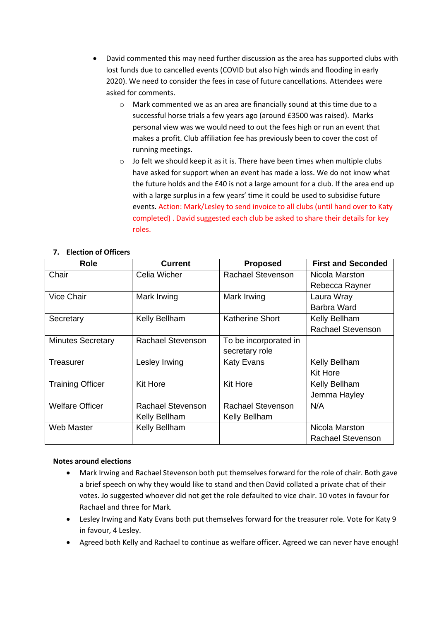- David commented this may need further discussion as the area has supported clubs with lost funds due to cancelled events (COVID but also high winds and flooding in early 2020). We need to consider the fees in case of future cancellations. Attendees were asked for comments.
	- o Mark commented we as an area are financially sound at this time due to a successful horse trials a few years ago (around £3500 was raised). Marks personal view was we would need to out the fees high or run an event that makes a profit. Club affiliation fee has previously been to cover the cost of running meetings.
	- $\circ$  Jo felt we should keep it as it is. There have been times when multiple clubs have asked for support when an event has made a loss. We do not know what the future holds and the £40 is not a large amount for a club. If the area end up with a large surplus in a few years' time it could be used to subsidise future events. Action: Mark/Lesley to send invoice to all clubs (until hand over to Katy completed) . David suggested each club be asked to share their details for key roles.

| <b>Role</b>              | <b>Current</b>           | <b>Proposed</b>          | <b>First and Seconded</b> |
|--------------------------|--------------------------|--------------------------|---------------------------|
| Chair                    | Celia Wicher             | <b>Rachael Stevenson</b> | Nicola Marston            |
|                          |                          |                          | Rebecca Rayner            |
| <b>Vice Chair</b>        | Mark Irwing              | Mark Irwing              | Laura Wray                |
|                          |                          |                          | Barbra Ward               |
| Secretary                | Kelly Bellham            | <b>Katherine Short</b>   | Kelly Bellham             |
|                          |                          |                          | <b>Rachael Stevenson</b>  |
| <b>Minutes Secretary</b> | <b>Rachael Stevenson</b> | To be incorporated in    |                           |
|                          |                          | secretary role           |                           |
| Treasurer                | Lesley Irwing            | <b>Katy Evans</b>        | Kelly Bellham             |
|                          |                          |                          | <b>Kit Hore</b>           |
| <b>Training Officer</b>  | <b>Kit Hore</b>          | <b>Kit Hore</b>          | Kelly Bellham             |
|                          |                          |                          | Jemma Hayley              |
| <b>Welfare Officer</b>   | Rachael Stevenson        | Rachael Stevenson        | N/A                       |
|                          | Kelly Bellham            | Kelly Bellham            |                           |
| <b>Web Master</b>        | Kelly Bellham            |                          | Nicola Marston            |
|                          |                          |                          | <b>Rachael Stevenson</b>  |

# **7. Election of Officers**

#### **Notes around elections**

- Mark Irwing and Rachael Stevenson both put themselves forward for the role of chair. Both gave a brief speech on why they would like to stand and then David collated a private chat of their votes. Jo suggested whoever did not get the role defaulted to vice chair. 10 votes in favour for Rachael and three for Mark.
- Lesley Irwing and Katy Evans both put themselves forward for the treasurer role. Vote for Katy 9 in favour, 4 Lesley.
- Agreed both Kelly and Rachael to continue as welfare officer. Agreed we can never have enough!